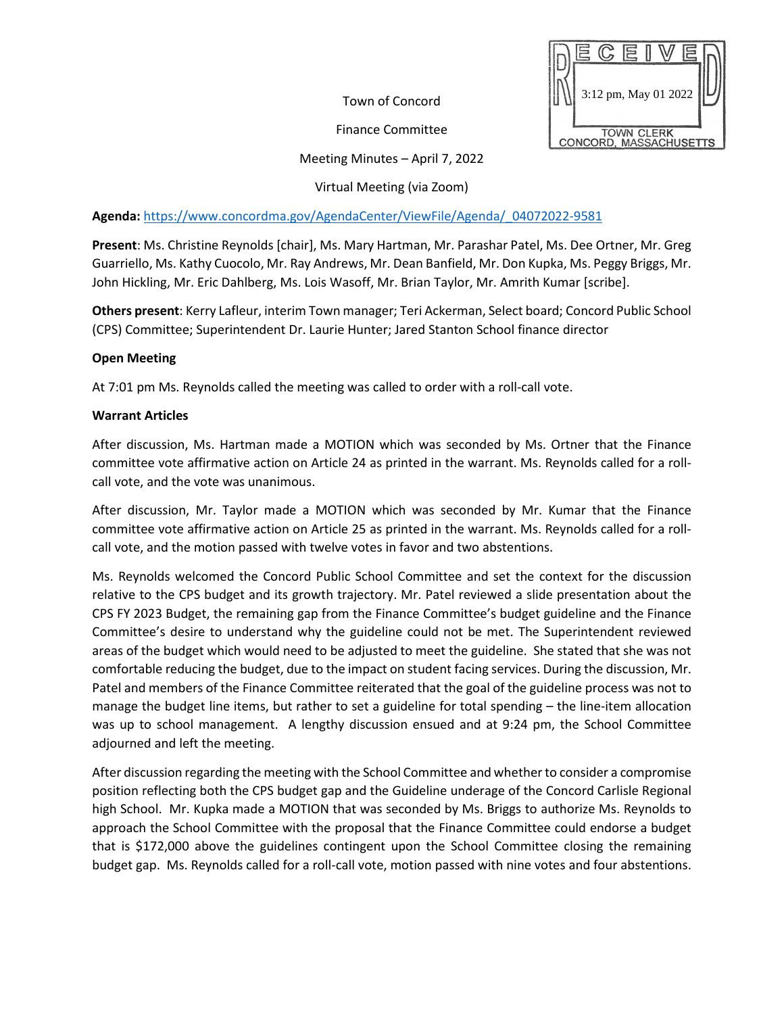Town of Concord

Finance Committee



## Meeting Minutes – April 7, 2022

Virtual Meeting (via Zoom)

**Agenda:** [https://www.concordma.gov/AgendaCenter/ViewFile/Agenda/\\_04072022-9581](https://www.concordma.gov/AgendaCenter/ViewFile/Agenda/_04072022-9581)

**Present**: Ms. Christine Reynolds [chair], Ms. Mary Hartman, Mr. Parashar Patel, Ms. Dee Ortner, Mr. Greg Guarriello, Ms. Kathy Cuocolo, Mr. Ray Andrews, Mr. Dean Banfield, Mr. Don Kupka, Ms. Peggy Briggs, Mr. John Hickling, Mr. Eric Dahlberg, Ms. Lois Wasoff, Mr. Brian Taylor, Mr. Amrith Kumar [scribe].

**Others present**: Kerry Lafleur, interim Town manager; Teri Ackerman, Select board; Concord Public School (CPS) Committee; Superintendent Dr. Laurie Hunter; Jared Stanton School finance director

## **Open Meeting**

At 7:01 pm Ms. Reynolds called the meeting was called to order with a roll-call vote.

## **Warrant Articles**

After discussion, Ms. Hartman made a MOTION which was seconded by Ms. Ortner that the Finance committee vote affirmative action on Article 24 as printed in the warrant. Ms. Reynolds called for a rollcall vote, and the vote was unanimous.

After discussion, Mr. Taylor made a MOTION which was seconded by Mr. Kumar that the Finance committee vote affirmative action on Article 25 as printed in the warrant. Ms. Reynolds called for a rollcall vote, and the motion passed with twelve votes in favor and two abstentions.

Ms. Reynolds welcomed the Concord Public School Committee and set the context for the discussion relative to the CPS budget and its growth trajectory. Mr. Patel reviewed a slide presentation about the CPS FY 2023 Budget, the remaining gap from the Finance Committee's budget guideline and the Finance Committee's desire to understand why the guideline could not be met. The Superintendent reviewed areas of the budget which would need to be adjusted to meet the guideline. She stated that she was not comfortable reducing the budget, due to the impact on student facing services. During the discussion, Mr. Patel and members of the Finance Committee reiterated that the goal of the guideline process was not to manage the budget line items, but rather to set a guideline for total spending – the line-item allocation was up to school management. A lengthy discussion ensued and at 9:24 pm, the School Committee adjourned and left the meeting.

After discussion regarding the meeting with the School Committee and whether to consider a compromise position reflecting both the CPS budget gap and the Guideline underage of the Concord Carlisle Regional high School. Mr. Kupka made a MOTION that was seconded by Ms. Briggs to authorize Ms. Reynolds to approach the School Committee with the proposal that the Finance Committee could endorse a budget that is \$172,000 above the guidelines contingent upon the School Committee closing the remaining budget gap. Ms. Reynolds called for a roll-call vote, motion passed with nine votes and four abstentions.